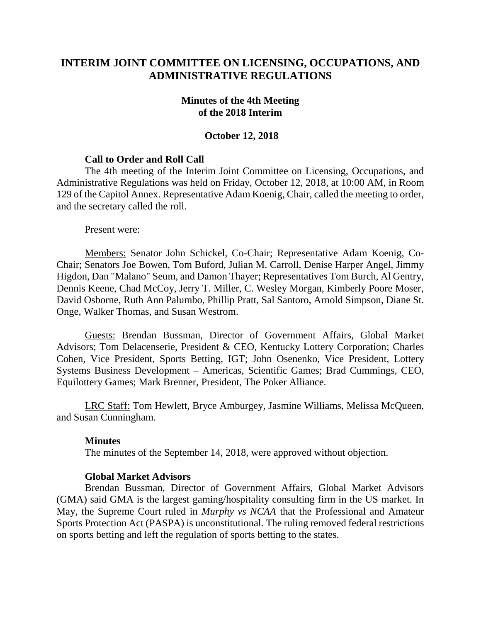# **INTERIM JOINT COMMITTEE ON LICENSING, OCCUPATIONS, AND ADMINISTRATIVE REGULATIONS**

#### **Minutes of the 4th Meeting of the 2018 Interim**

### **October 12, 2018**

### **Call to Order and Roll Call**

The 4th meeting of the Interim Joint Committee on Licensing, Occupations, and Administrative Regulations was held on Friday, October 12, 2018, at 10:00 AM, in Room 129 of the Capitol Annex. Representative Adam Koenig, Chair, called the meeting to order, and the secretary called the roll.

Present were:

Members: Senator John Schickel, Co-Chair; Representative Adam Koenig, Co-Chair; Senators Joe Bowen, Tom Buford, Julian M. Carroll, Denise Harper Angel, Jimmy Higdon, Dan "Malano" Seum, and Damon Thayer; Representatives Tom Burch, Al Gentry, Dennis Keene, Chad McCoy, Jerry T. Miller, C. Wesley Morgan, Kimberly Poore Moser, David Osborne, Ruth Ann Palumbo, Phillip Pratt, Sal Santoro, Arnold Simpson, Diane St. Onge, Walker Thomas, and Susan Westrom.

Guests: Brendan Bussman, Director of Government Affairs, Global Market Advisors; Tom Delacenserie, President & CEO, Kentucky Lottery Corporation; Charles Cohen, Vice President, Sports Betting, IGT; John Osenenko, Vice President, Lottery Systems Business Development – Americas, Scientific Games; Brad Cummings, CEO, Equilottery Games; Mark Brenner, President, The Poker Alliance.

LRC Staff: Tom Hewlett, Bryce Amburgey, Jasmine Williams, Melissa McQueen, and Susan Cunningham.

#### **Minutes**

The minutes of the September 14, 2018, were approved without objection.

#### **Global Market Advisors**

Brendan Bussman, Director of Government Affairs, Global Market Advisors (GMA) said GMA is the largest gaming/hospitality consulting firm in the US market. In May, the Supreme Court ruled in *Murphy vs NCAA* that the Professional and Amateur Sports Protection Act (PASPA) is unconstitutional. The ruling removed federal restrictions on sports betting and left the regulation of sports betting to the states.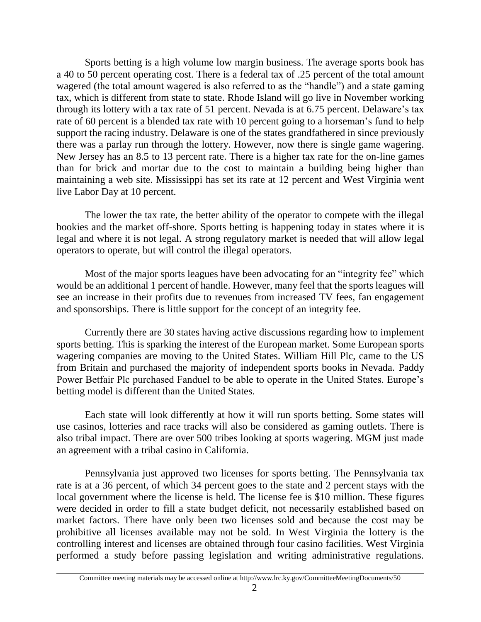Sports betting is a high volume low margin business. The average sports book has a 40 to 50 percent operating cost. There is a federal tax of .25 percent of the total amount wagered (the total amount wagered is also referred to as the "handle") and a state gaming tax, which is different from state to state. Rhode Island will go live in November working through its lottery with a tax rate of 51 percent. Nevada is at 6.75 percent. Delaware's tax rate of 60 percent is a blended tax rate with 10 percent going to a horseman's fund to help support the racing industry. Delaware is one of the states grandfathered in since previously there was a parlay run through the lottery. However, now there is single game wagering. New Jersey has an 8.5 to 13 percent rate. There is a higher tax rate for the on-line games than for brick and mortar due to the cost to maintain a building being higher than maintaining a web site. Mississippi has set its rate at 12 percent and West Virginia went live Labor Day at 10 percent.

The lower the tax rate, the better ability of the operator to compete with the illegal bookies and the market off-shore. Sports betting is happening today in states where it is legal and where it is not legal. A strong regulatory market is needed that will allow legal operators to operate, but will control the illegal operators.

Most of the major sports leagues have been advocating for an "integrity fee" which would be an additional 1 percent of handle. However, many feel that the sports leagues will see an increase in their profits due to revenues from increased TV fees, fan engagement and sponsorships. There is little support for the concept of an integrity fee.

Currently there are 30 states having active discussions regarding how to implement sports betting. This is sparking the interest of the European market. Some European sports wagering companies are moving to the United States. William Hill Plc, came to the US from Britain and purchased the majority of independent sports books in Nevada. Paddy Power Betfair Plc purchased Fanduel to be able to operate in the United States. Europe's betting model is different than the United States.

Each state will look differently at how it will run sports betting. Some states will use casinos, lotteries and race tracks will also be considered as gaming outlets. There is also tribal impact. There are over 500 tribes looking at sports wagering. MGM just made an agreement with a tribal casino in California.

Pennsylvania just approved two licenses for sports betting. The Pennsylvania tax rate is at a 36 percent, of which 34 percent goes to the state and 2 percent stays with the local government where the license is held. The license fee is \$10 million. These figures were decided in order to fill a state budget deficit, not necessarily established based on market factors. There have only been two licenses sold and because the cost may be prohibitive all licenses available may not be sold. In West Virginia the lottery is the controlling interest and licenses are obtained through four casino facilities. West Virginia performed a study before passing legislation and writing administrative regulations.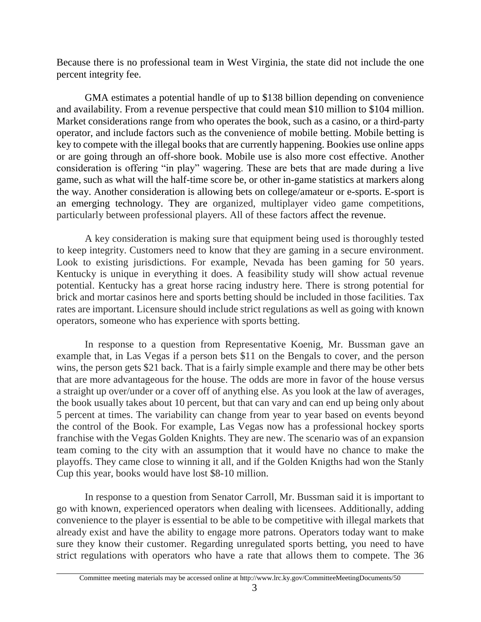Because there is no professional team in West Virginia, the state did not include the one percent integrity fee.

GMA estimates a potential handle of up to \$138 billion depending on convenience and availability. From a revenue perspective that could mean \$10 million to \$104 million. Market considerations range from who operates the book, such as a casino, or a third-party operator, and include factors such as the convenience of mobile betting. Mobile betting is key to compete with the illegal books that are currently happening. Bookies use online apps or are going through an off-shore book. Mobile use is also more cost effective. Another consideration is offering "in play" wagering. These are bets that are made during a live game, such as what will the half-time score be, or other in-game statistics at markers along the way. Another consideration is allowing bets on college/amateur or e-sports. E-sport is an emerging technology. They are organized, multiplayer video game competitions, particularly between professional players. All of these factors affect the revenue.

A key consideration is making sure that equipment being used is thoroughly tested to keep integrity. Customers need to know that they are gaming in a secure environment. Look to existing jurisdictions. For example, Nevada has been gaming for 50 years. Kentucky is unique in everything it does. A feasibility study will show actual revenue potential. Kentucky has a great horse racing industry here. There is strong potential for brick and mortar casinos here and sports betting should be included in those facilities. Tax rates are important. Licensure should include strict regulations as well as going with known operators, someone who has experience with sports betting.

In response to a question from Representative Koenig, Mr. Bussman gave an example that, in Las Vegas if a person bets \$11 on the Bengals to cover, and the person wins, the person gets \$21 back. That is a fairly simple example and there may be other bets that are more advantageous for the house. The odds are more in favor of the house versus a straight up over/under or a cover off of anything else. As you look at the law of averages, the book usually takes about 10 percent, but that can vary and can end up being only about 5 percent at times. The variability can change from year to year based on events beyond the control of the Book. For example, Las Vegas now has a professional hockey sports franchise with the Vegas Golden Knights. They are new. The scenario was of an expansion team coming to the city with an assumption that it would have no chance to make the playoffs. They came close to winning it all, and if the Golden Knigths had won the Stanly Cup this year, books would have lost \$8-10 million.

In response to a question from Senator Carroll, Mr. Bussman said it is important to go with known, experienced operators when dealing with licensees. Additionally, adding convenience to the player is essential to be able to be competitive with illegal markets that already exist and have the ability to engage more patrons. Operators today want to make sure they know their customer. Regarding unregulated sports betting, you need to have strict regulations with operators who have a rate that allows them to compete. The 36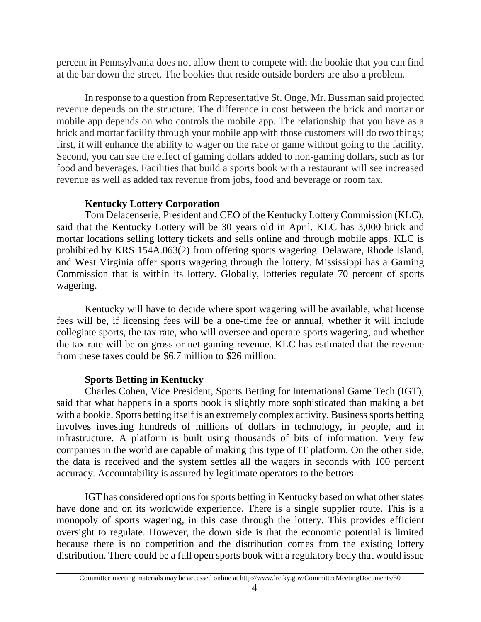percent in Pennsylvania does not allow them to compete with the bookie that you can find at the bar down the street. The bookies that reside outside borders are also a problem.

In response to a question from Representative St. Onge, Mr. Bussman said projected revenue depends on the structure. The difference in cost between the brick and mortar or mobile app depends on who controls the mobile app. The relationship that you have as a brick and mortar facility through your mobile app with those customers will do two things; first, it will enhance the ability to wager on the race or game without going to the facility. Second, you can see the effect of gaming dollars added to non-gaming dollars, such as for food and beverages. Facilities that build a sports book with a restaurant will see increased revenue as well as added tax revenue from jobs, food and beverage or room tax.

## **Kentucky Lottery Corporation**

Tom Delacenserie, President and CEO of the Kentucky Lottery Commission (KLC), said that the Kentucky Lottery will be 30 years old in April. KLC has 3,000 brick and mortar locations selling lottery tickets and sells online and through mobile apps. KLC is prohibited by KRS 154A.063(2) from offering sports wagering. Delaware, Rhode Island, and West Virginia offer sports wagering through the lottery. Mississippi has a Gaming Commission that is within its lottery. Globally, lotteries regulate 70 percent of sports wagering.

Kentucky will have to decide where sport wagering will be available, what license fees will be, if licensing fees will be a one-time fee or annual, whether it will include collegiate sports, the tax rate, who will oversee and operate sports wagering, and whether the tax rate will be on gross or net gaming revenue. KLC has estimated that the revenue from these taxes could be \$6.7 million to \$26 million.

# **Sports Betting in Kentucky**

Charles Cohen, Vice President, Sports Betting for International Game Tech (IGT), said that what happens in a sports book is slightly more sophisticated than making a bet with a bookie. Sports betting itself is an extremely complex activity. Business sports betting involves investing hundreds of millions of dollars in technology, in people, and in infrastructure. A platform is built using thousands of bits of information. Very few companies in the world are capable of making this type of IT platform. On the other side, the data is received and the system settles all the wagers in seconds with 100 percent accuracy. Accountability is assured by legitimate operators to the bettors.

IGT has considered options for sports betting in Kentucky based on what other states have done and on its worldwide experience. There is a single supplier route. This is a monopoly of sports wagering, in this case through the lottery. This provides efficient oversight to regulate. However, the down side is that the economic potential is limited because there is no competition and the distribution comes from the existing lottery distribution. There could be a full open sports book with a regulatory body that would issue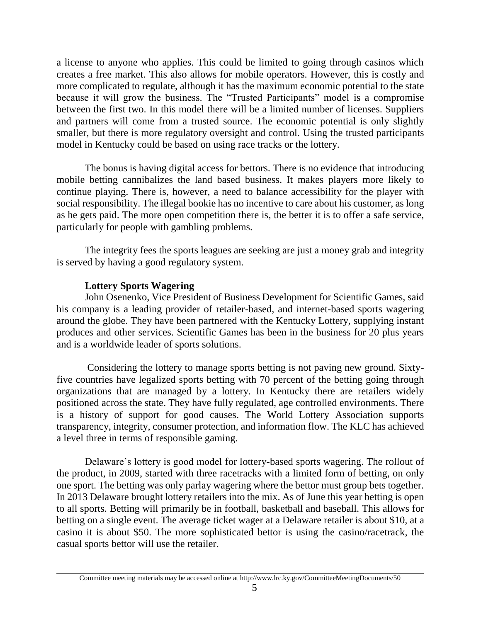a license to anyone who applies. This could be limited to going through casinos which creates a free market. This also allows for mobile operators. However, this is costly and more complicated to regulate, although it has the maximum economic potential to the state because it will grow the business. The "Trusted Participants" model is a compromise between the first two. In this model there will be a limited number of licenses. Suppliers and partners will come from a trusted source. The economic potential is only slightly smaller, but there is more regulatory oversight and control. Using the trusted participants model in Kentucky could be based on using race tracks or the lottery.

The bonus is having digital access for bettors. There is no evidence that introducing mobile betting cannibalizes the land based business. It makes players more likely to continue playing. There is, however, a need to balance accessibility for the player with social responsibility. The illegal bookie has no incentive to care about his customer, as long as he gets paid. The more open competition there is, the better it is to offer a safe service, particularly for people with gambling problems.

The integrity fees the sports leagues are seeking are just a money grab and integrity is served by having a good regulatory system.

### **Lottery Sports Wagering**

John Osenenko, Vice President of Business Development for Scientific Games, said his company is a leading provider of retailer-based, and internet-based sports wagering around the globe. They have been partnered with the Kentucky Lottery, supplying instant produces and other services. Scientific Games has been in the business for 20 plus years and is a worldwide leader of sports solutions.

Considering the lottery to manage sports betting is not paving new ground. Sixtyfive countries have legalized sports betting with 70 percent of the betting going through organizations that are managed by a lottery. In Kentucky there are retailers widely positioned across the state. They have fully regulated, age controlled environments. There is a history of support for good causes. The World Lottery Association supports transparency, integrity, consumer protection, and information flow. The KLC has achieved a level three in terms of responsible gaming.

Delaware's lottery is good model for lottery-based sports wagering. The rollout of the product, in 2009, started with three racetracks with a limited form of betting, on only one sport. The betting was only parlay wagering where the bettor must group bets together. In 2013 Delaware brought lottery retailers into the mix. As of June this year betting is open to all sports. Betting will primarily be in football, basketball and baseball. This allows for betting on a single event. The average ticket wager at a Delaware retailer is about \$10, at a casino it is about \$50. The more sophisticated bettor is using the casino/racetrack, the casual sports bettor will use the retailer.

Committee meeting materials may be accessed online at http://www.lrc.ky.gov/CommitteeMeetingDocuments/50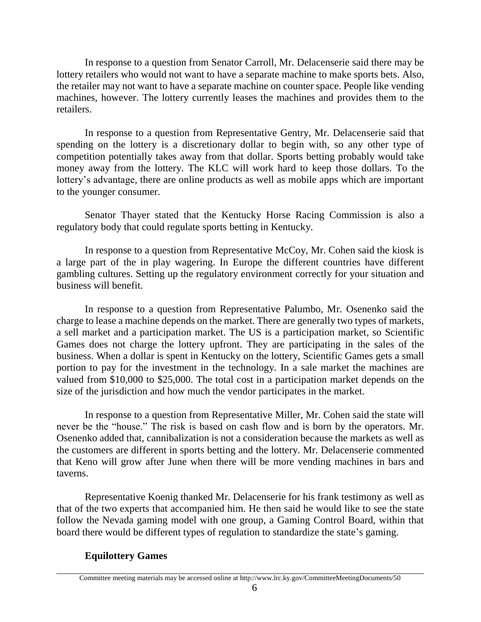In response to a question from Senator Carroll, Mr. Delacenserie said there may be lottery retailers who would not want to have a separate machine to make sports bets. Also, the retailer may not want to have a separate machine on counter space. People like vending machines, however. The lottery currently leases the machines and provides them to the retailers.

In response to a question from Representative Gentry, Mr. Delacenserie said that spending on the lottery is a discretionary dollar to begin with, so any other type of competition potentially takes away from that dollar. Sports betting probably would take money away from the lottery. The KLC will work hard to keep those dollars. To the lottery's advantage, there are online products as well as mobile apps which are important to the younger consumer.

Senator Thayer stated that the Kentucky Horse Racing Commission is also a regulatory body that could regulate sports betting in Kentucky.

In response to a question from Representative McCoy, Mr. Cohen said the kiosk is a large part of the in play wagering. In Europe the different countries have different gambling cultures. Setting up the regulatory environment correctly for your situation and business will benefit.

In response to a question from Representative Palumbo, Mr. Osenenko said the charge to lease a machine depends on the market. There are generally two types of markets, a sell market and a participation market. The US is a participation market, so Scientific Games does not charge the lottery upfront. They are participating in the sales of the business. When a dollar is spent in Kentucky on the lottery, Scientific Games gets a small portion to pay for the investment in the technology. In a sale market the machines are valued from \$10,000 to \$25,000. The total cost in a participation market depends on the size of the jurisdiction and how much the vendor participates in the market.

In response to a question from Representative Miller, Mr. Cohen said the state will never be the "house." The risk is based on cash flow and is born by the operators. Mr. Osenenko added that, cannibalization is not a consideration because the markets as well as the customers are different in sports betting and the lottery. Mr. Delacenserie commented that Keno will grow after June when there will be more vending machines in bars and taverns.

Representative Koenig thanked Mr. Delacenserie for his frank testimony as well as that of the two experts that accompanied him. He then said he would like to see the state follow the Nevada gaming model with one group, a Gaming Control Board, within that board there would be different types of regulation to standardize the state's gaming.

# **Equilottery Games**

Committee meeting materials may be accessed online at http://www.lrc.ky.gov/CommitteeMeetingDocuments/50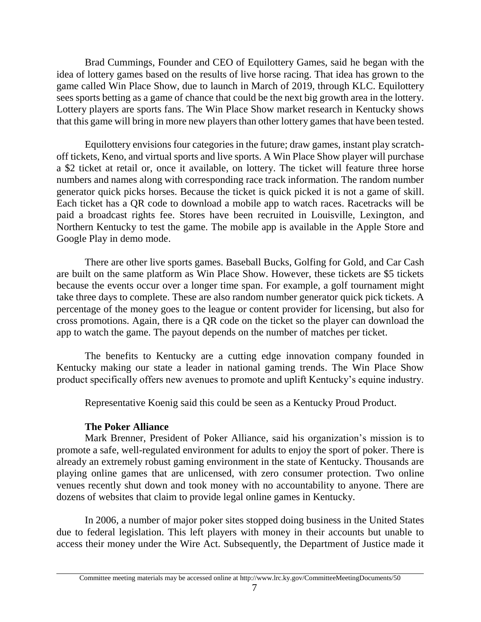Brad Cummings, Founder and CEO of Equilottery Games, said he began with the idea of lottery games based on the results of live horse racing. That idea has grown to the game called Win Place Show, due to launch in March of 2019, through KLC. Equilottery sees sports betting as a game of chance that could be the next big growth area in the lottery. Lottery players are sports fans. The Win Place Show market research in Kentucky shows that this game will bring in more new players than other lottery games that have been tested.

Equilottery envisions four categories in the future; draw games, instant play scratchoff tickets, Keno, and virtual sports and live sports. A Win Place Show player will purchase a \$2 ticket at retail or, once it available, on lottery. The ticket will feature three horse numbers and names along with corresponding race track information. The random number generator quick picks horses. Because the ticket is quick picked it is not a game of skill. Each ticket has a QR code to download a mobile app to watch races. Racetracks will be paid a broadcast rights fee. Stores have been recruited in Louisville, Lexington, and Northern Kentucky to test the game. The mobile app is available in the Apple Store and Google Play in demo mode.

There are other live sports games. Baseball Bucks, Golfing for Gold, and Car Cash are built on the same platform as Win Place Show. However, these tickets are \$5 tickets because the events occur over a longer time span. For example, a golf tournament might take three days to complete. These are also random number generator quick pick tickets. A percentage of the money goes to the league or content provider for licensing, but also for cross promotions. Again, there is a QR code on the ticket so the player can download the app to watch the game. The payout depends on the number of matches per ticket.

The benefits to Kentucky are a cutting edge innovation company founded in Kentucky making our state a leader in national gaming trends. The Win Place Show product specifically offers new avenues to promote and uplift Kentucky's equine industry.

Representative Koenig said this could be seen as a Kentucky Proud Product.

## **The Poker Alliance**

Mark Brenner, President of Poker Alliance, said his organization's mission is to promote a safe, well-regulated environment for adults to enjoy the sport of poker. There is already an extremely robust gaming environment in the state of Kentucky. Thousands are playing online games that are unlicensed, with zero consumer protection. Two online venues recently shut down and took money with no accountability to anyone. There are dozens of websites that claim to provide legal online games in Kentucky.

In 2006, a number of major poker sites stopped doing business in the United States due to federal legislation. This left players with money in their accounts but unable to access their money under the Wire Act. Subsequently, the Department of Justice made it